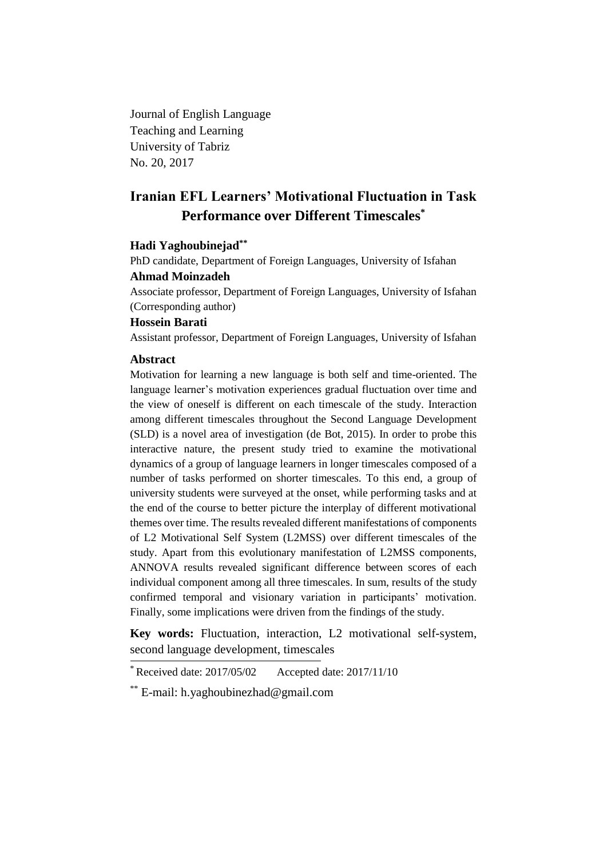Journal of English Language Teaching and Learning University of Tabriz No. 20, 2017

# **Iranian EFL Learners' Motivational Fluctuation in Task Performance over Different Timescales\***

# **Hadi Yaghoubinejad\*\***

PhD candidate, Department of Foreign Languages, University of Isfahan **Ahmad Moinzadeh**

Associate professor, Department of Foreign Languages, University of Isfahan (Corresponding author)

# **Hossein Barati**

Assistant professor, Department of Foreign Languages, University of Isfahan

## **Abstract**

Motivation for learning a new language is both self and time-oriented. The language learner's motivation experiences gradual fluctuation over time and the view of oneself is different on each timescale of the study. Interaction among different timescales throughout the Second Language Development (SLD) is a novel area of investigation (de Bot, 2015). In order to probe this interactive nature, the present study tried to examine the motivational dynamics of a group of language learners in longer timescales composed of a number of tasks performed on shorter timescales. To this end, a group of university students were surveyed at the onset, while performing tasks and at the end of the course to better picture the interplay of different motivational themes over time. The results revealed different manifestations of components of L2 Motivational Self System (L2MSS) over different timescales of the study. Apart from this evolutionary manifestation of L2MSS components, ANNOVA results revealed significant difference between scores of each individual component among all three timescales. In sum, results of the study confirmed temporal and visionary variation in participants' motivation. Finally, some implications were driven from the findings of the study.

**Key words:** Fluctuation, interaction, L2 motivational self-system, second language development, timescales

 $*$  Received date: 2017/05/02 Accepted date: 2017/11/10

<sup>\*\*</sup> E-mail: h.yaghoubinezhad@gmail.com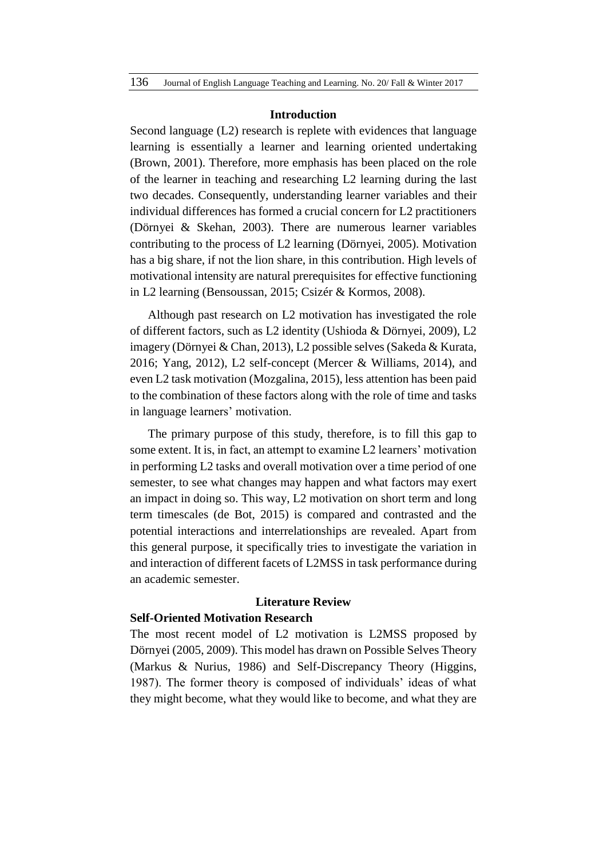#### **Introduction**

Second language (L2) research is replete with evidences that language learning is essentially a learner and learning oriented undertaking (Brown, 2001). Therefore, more emphasis has been placed on the role of the learner in teaching and researching L2 learning during the last two decades. Consequently, understanding learner variables and their individual differences has formed a crucial concern for L2 practitioners (Dörnyei & Skehan, 2003). There are numerous learner variables contributing to the process of L2 learning (Dörnyei, 2005). Motivation has a big share, if not the lion share, in this contribution. High levels of motivational intensity are natural prerequisites for effective functioning in L2 learning (Bensoussan, 2015; Csizér & Kormos, 2008).

Although past research on L2 motivation has investigated the role of different factors, such as L2 identity (Ushioda & Dörnyei, 2009), L2 imagery (Dörnyei & Chan, 2013), L2 possible selves (Sakeda & Kurata, 2016; Yang, 2012), L2 self-concept (Mercer & Williams, 2014), and even L2 task motivation (Mozgalina, 2015), less attention has been paid to the combination of these factors along with the role of time and tasks in language learners' motivation.

The primary purpose of this study, therefore, is to fill this gap to some extent. It is, in fact, an attempt to examine L2 learners' motivation in performing L2 tasks and overall motivation over a time period of one semester, to see what changes may happen and what factors may exert an impact in doing so. This way, L2 motivation on short term and long term timescales (de Bot, 2015) is compared and contrasted and the potential interactions and interrelationships are revealed. Apart from this general purpose, it specifically tries to investigate the variation in and interaction of different facets of L2MSS in task performance during an academic semester.

#### **Literature Review**

# **Self-Oriented Motivation Research**

The most recent model of L2 motivation is L2MSS proposed by Dörnyei (2005, 2009). This model has drawn on Possible Selves Theory (Markus & Nurius, 1986) and Self-Discrepancy Theory (Higgins, 1987). The former theory is composed of individuals' ideas of what they might become, what they would like to become, and what they are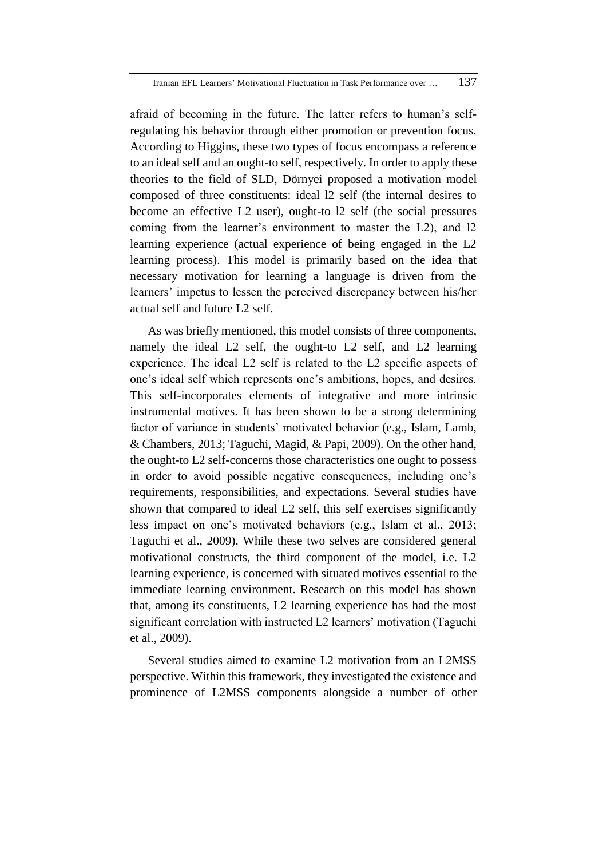afraid of becoming in the future. The latter refers to human's selfregulating his behavior through either promotion or prevention focus. According to Higgins, these two types of focus encompass a reference to an ideal self and an ought-to self, respectively. In order to apply these theories to the field of SLD, Dörnyei proposed a motivation model composed of three constituents: ideal l2 self (the internal desires to become an effective L2 user), ought-to l2 self (the social pressures coming from the learner's environment to master the L2), and l2 learning experience (actual experience of being engaged in the L2 learning process). This model is primarily based on the idea that necessary motivation for learning a language is driven from the learners' impetus to lessen the perceived discrepancy between his/her actual self and future L2 self.

As was briefly mentioned, this model consists of three components, namely the ideal L2 self, the ought-to L2 self, and L2 learning experience. The ideal L2 self is related to the L2 specific aspects of one's ideal self which represents one's ambitions, hopes, and desires. This self-incorporates elements of integrative and more intrinsic instrumental motives. It has been shown to be a strong determining factor of variance in students' motivated behavior (e.g., Islam, Lamb, & Chambers, 2013; Taguchi, Magid, & Papi, 2009). On the other hand, the ought-to L2 self-concerns those characteristics one ought to possess in order to avoid possible negative consequences, including one's requirements, responsibilities, and expectations. Several studies have shown that compared to ideal L2 self, this self exercises significantly less impact on one's motivated behaviors (e.g., Islam et al., 2013; Taguchi et al., 2009). While these two selves are considered general motivational constructs, the third component of the model, i.e. L2 learning experience, is concerned with situated motives essential to the immediate learning environment. Research on this model has shown that, among its constituents, L2 learning experience has had the most significant correlation with instructed L2 learners' motivation (Taguchi et al., 2009).

Several studies aimed to examine L2 motivation from an L2MSS perspective. Within this framework, they investigated the existence and prominence of L2MSS components alongside a number of other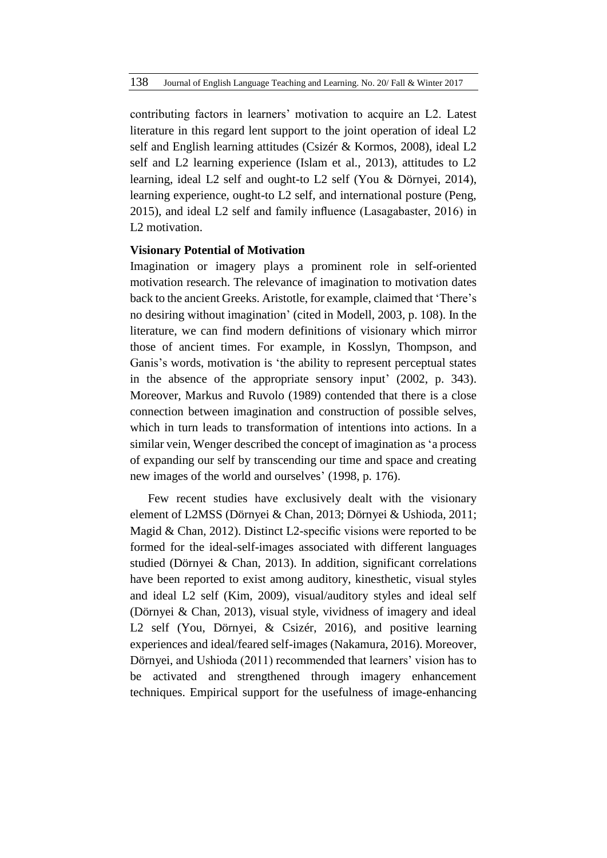contributing factors in learners' motivation to acquire an L2. Latest literature in this regard lent support to the joint operation of ideal L2 self and English learning attitudes (Csizér & Kormos, 2008), ideal L2 self and L2 learning experience (Islam et al., 2013), attitudes to L2 learning, ideal L2 self and ought-to L2 self (You & Dörnyei, 2014), learning experience, ought-to L2 self, and international posture (Peng, 2015), and ideal L2 self and family influence (Lasagabaster, 2016) in L2 motivation.

# **Visionary Potential of Motivation**

Imagination or imagery plays a prominent role in self-oriented motivation research. The relevance of imagination to motivation dates back to the ancient Greeks. Aristotle, for example, claimed that 'There's no desiring without imagination' (cited in Modell, 2003, p. 108). In the literature, we can find modern definitions of visionary which mirror those of ancient times. For example, in Kosslyn, Thompson, and Ganis's words, motivation is 'the ability to represent perceptual states in the absence of the appropriate sensory input' (2002, p. 343). Moreover, Markus and Ruvolo (1989) contended that there is a close connection between imagination and construction of possible selves, which in turn leads to transformation of intentions into actions. In a similar vein, Wenger described the concept of imagination as 'a process of expanding our self by transcending our time and space and creating new images of the world and ourselves' (1998, p. 176).

Few recent studies have exclusively dealt with the visionary element of L2MSS (Dörnyei & Chan, 2013; Dörnyei & Ushioda, 2011; Magid & Chan, 2012). Distinct L2-specific visions were reported to be formed for the ideal-self-images associated with different languages studied (Dörnyei & Chan, 2013). In addition, significant correlations have been reported to exist among auditory, kinesthetic, visual styles and ideal L2 self (Kim, 2009), visual/auditory styles and ideal self (Dörnyei & Chan, 2013), visual style, vividness of imagery and ideal L2 self (You, Dörnyei, & Csizér, 2016), and positive learning experiences and ideal/feared self-images (Nakamura, 2016). Moreover, Dörnyei, and Ushioda (2011) recommended that learners' vision has to be activated and strengthened through imagery enhancement techniques. Empirical support for the usefulness of image-enhancing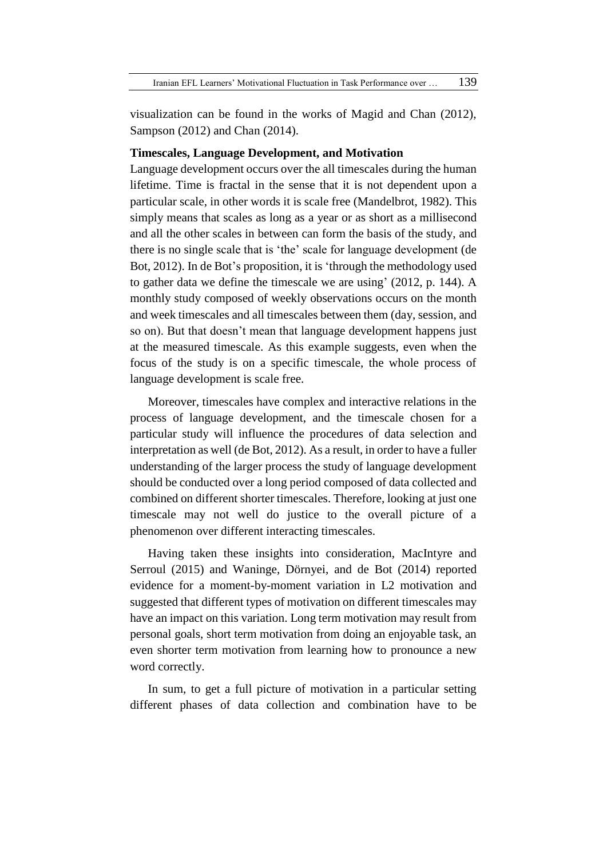visualization can be found in the works of Magid and Chan (2012), Sampson (2012) and Chan (2014).

#### **Timescales, Language Development, and Motivation**

Language development occurs over the all timescales during the human lifetime. Time is fractal in the sense that it is not dependent upon a particular scale, in other words it is scale free (Mandelbrot, 1982). This simply means that scales as long as a year or as short as a millisecond and all the other scales in between can form the basis of the study, and there is no single scale that is 'the' scale for language development (de Bot, 2012). In de Bot's proposition, it is 'through the methodology used to gather data we define the timescale we are using' (2012, p. 144). A monthly study composed of weekly observations occurs on the month and week timescales and all timescales between them (day, session, and so on). But that doesn't mean that language development happens just at the measured timescale. As this example suggests, even when the focus of the study is on a specific timescale, the whole process of language development is scale free.

Moreover, timescales have complex and interactive relations in the process of language development, and the timescale chosen for a particular study will influence the procedures of data selection and interpretation as well (de Bot, 2012). As a result, in order to have a fuller understanding of the larger process the study of language development should be conducted over a long period composed of data collected and combined on different shorter timescales. Therefore, looking at just one timescale may not well do justice to the overall picture of a phenomenon over different interacting timescales.

Having taken these insights into consideration, MacIntyre and Serroul (2015) and Waninge, Dörnyei, and de Bot (2014) reported evidence for a moment-by-moment variation in L2 motivation and suggested that different types of motivation on different timescales may have an impact on this variation. Long term motivation may result from personal goals, short term motivation from doing an enjoyable task, an even shorter term motivation from learning how to pronounce a new word correctly.

In sum, to get a full picture of motivation in a particular setting different phases of data collection and combination have to be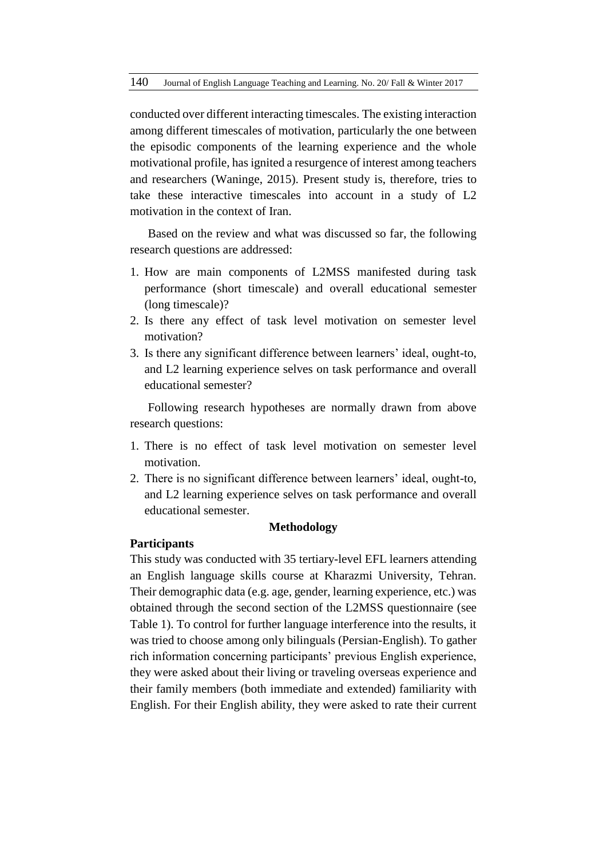conducted over different interacting timescales. The existing interaction among different timescales of motivation, particularly the one between the episodic components of the learning experience and the whole motivational profile, has ignited a resurgence of interest among teachers and researchers (Waninge, 2015). Present study is, therefore, tries to take these interactive timescales into account in a study of L2 motivation in the context of Iran.

Based on the review and what was discussed so far, the following research questions are addressed:

- 1. How are main components of L2MSS manifested during task performance (short timescale) and overall educational semester (long timescale)?
- 2. Is there any effect of task level motivation on semester level motivation?
- 3. Is there any significant difference between learners' ideal, ought-to, and L2 learning experience selves on task performance and overall educational semester?

Following research hypotheses are normally drawn from above research questions:

- 1. There is no effect of task level motivation on semester level motivation.
- 2. There is no significant difference between learners' ideal, ought-to, and L2 learning experience selves on task performance and overall educational semester.

#### **Methodology**

# **Participants**

This study was conducted with 35 tertiary-level EFL learners attending an English language skills course at Kharazmi University, Tehran. Their demographic data (e.g. age, gender, learning experience, etc.) was obtained through the second section of the L2MSS questionnaire (see Table 1). To control for further language interference into the results, it was tried to choose among only bilinguals (Persian-English). To gather rich information concerning participants' previous English experience, they were asked about their living or traveling overseas experience and their family members (both immediate and extended) familiarity with English. For their English ability, they were asked to rate their current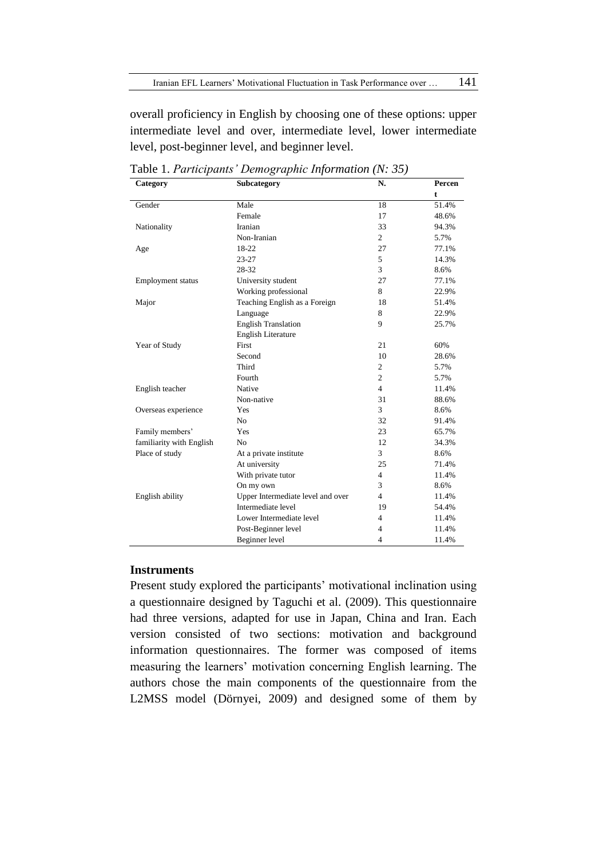overall proficiency in English by choosing one of these options: upper intermediate level and over, intermediate level, lower intermediate level, post-beginner level, and beginner level.

| Category                 | Subcategory                       | N.             | Percen |
|--------------------------|-----------------------------------|----------------|--------|
|                          |                                   |                | t      |
| Gender                   | Male                              | 18             | 51.4%  |
|                          | Female                            | 17             | 48.6%  |
| Nationality              | Iranian                           | 33             | 94.3%  |
|                          | Non-Iranian                       | $\overline{2}$ | 5.7%   |
| Age                      | 18-22                             | 27             | 77.1%  |
|                          | $23 - 27$                         | 5              | 14.3%  |
|                          | 28-32                             | 3              | 8.6%   |
| <b>Employment</b> status | University student                | 27             | 77.1%  |
|                          | Working professional              | 8              | 22.9%  |
| Major                    | Teaching English as a Foreign     | 18             | 51.4%  |
|                          | Language                          | 8              | 22.9%  |
|                          | <b>English Translation</b>        | 9              | 25.7%  |
|                          | <b>English Literature</b>         |                |        |
| Year of Study            | First                             | 21             | 60%    |
|                          | Second                            | 10             | 28.6%  |
|                          | Third                             | $\overline{c}$ | 5.7%   |
|                          | Fourth                            | $\overline{2}$ | 5.7%   |
| English teacher          | Native                            | $\overline{4}$ | 11.4%  |
|                          | Non-native                        | 31             | 88.6%  |
| Overseas experience      | Yes                               | 3              | 8.6%   |
|                          | N <sub>0</sub>                    | 32             | 91.4%  |
| Family members'          | Yes                               | 23             | 65.7%  |
| familiarity with English | N <sub>0</sub>                    | 12             | 34.3%  |
| Place of study           | At a private institute            | 3              | 8.6%   |
|                          | At university                     | 25             | 71.4%  |
|                          | With private tutor                | $\overline{4}$ | 11.4%  |
|                          | On my own                         | 3              | 8.6%   |
| English ability          | Upper Intermediate level and over | $\overline{4}$ | 11.4%  |
|                          | Intermediate level                | 19             | 54.4%  |
|                          | Lower Intermediate level          | $\overline{4}$ | 11.4%  |
|                          | Post-Beginner level               | $\overline{4}$ | 11.4%  |
|                          | Beginner level                    | $\overline{4}$ | 11.4%  |

Table 1. *Participants' Demographic Information (N: 35)*

# **Instruments**

Present study explored the participants' motivational inclination using a questionnaire designed by Taguchi et al. (2009). This questionnaire had three versions, adapted for use in Japan, China and Iran. Each version consisted of two sections: motivation and background information questionnaires. The former was composed of items measuring the learners' motivation concerning English learning. The authors chose the main components of the questionnaire from the L2MSS model (Dörnyei, 2009) and designed some of them by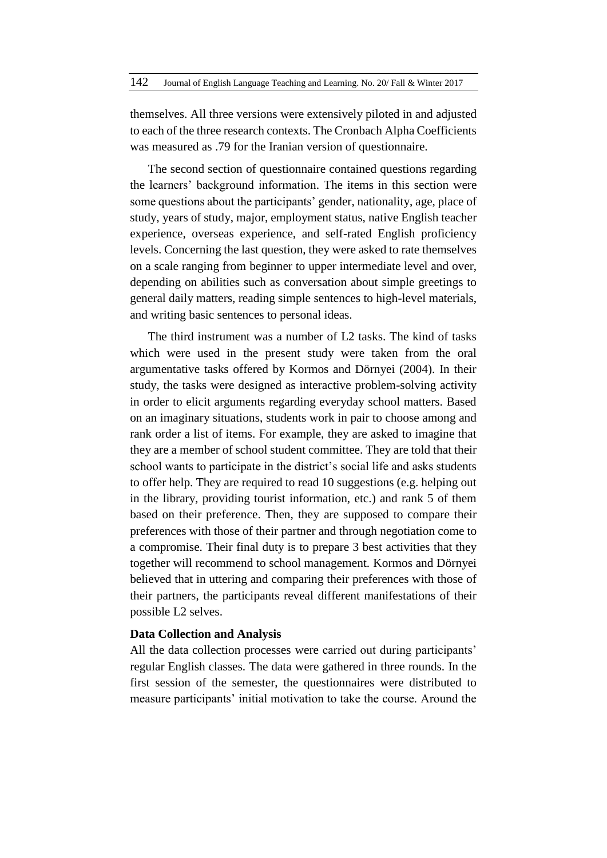themselves. All three versions were extensively piloted in and adjusted to each of the three research contexts. The Cronbach Alpha Coefficients was measured as .79 for the Iranian version of questionnaire.

The second section of questionnaire contained questions regarding the learners' background information. The items in this section were some questions about the participants' gender, nationality, age, place of study, years of study, major, employment status, native English teacher experience, overseas experience, and self-rated English proficiency levels. Concerning the last question, they were asked to rate themselves on a scale ranging from beginner to upper intermediate level and over, depending on abilities such as conversation about simple greetings to general daily matters, reading simple sentences to high-level materials, and writing basic sentences to personal ideas.

The third instrument was a number of L2 tasks. The kind of tasks which were used in the present study were taken from the oral argumentative tasks offered by Kormos and Dörnyei (2004). In their study, the tasks were designed as interactive problem-solving activity in order to elicit arguments regarding everyday school matters. Based on an imaginary situations, students work in pair to choose among and rank order a list of items. For example, they are asked to imagine that they are a member of school student committee. They are told that their school wants to participate in the district's social life and asks students to offer help. They are required to read 10 suggestions (e.g. helping out in the library, providing tourist information, etc.) and rank 5 of them based on their preference. Then, they are supposed to compare their preferences with those of their partner and through negotiation come to a compromise. Their final duty is to prepare 3 best activities that they together will recommend to school management. Kormos and Dörnyei believed that in uttering and comparing their preferences with those of their partners, the participants reveal different manifestations of their possible L2 selves.

# **Data Collection and Analysis**

All the data collection processes were carried out during participants' regular English classes. The data were gathered in three rounds. In the first session of the semester, the questionnaires were distributed to measure participants' initial motivation to take the course. Around the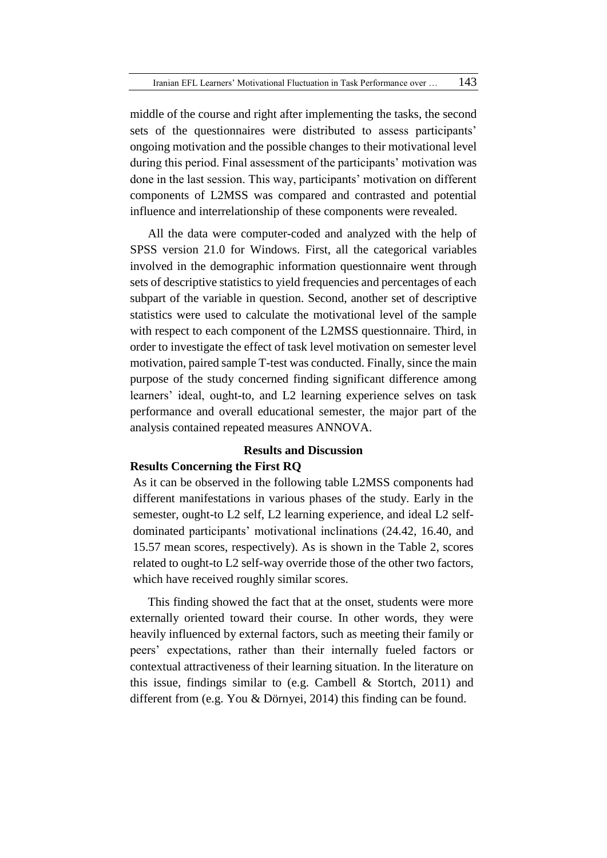middle of the course and right after implementing the tasks, the second sets of the questionnaires were distributed to assess participants' ongoing motivation and the possible changes to their motivational level during this period. Final assessment of the participants' motivation was done in the last session. This way, participants' motivation on different components of L2MSS was compared and contrasted and potential influence and interrelationship of these components were revealed.

All the data were computer-coded and analyzed with the help of SPSS version 21.0 for Windows. First, all the categorical variables involved in the demographic information questionnaire went through sets of descriptive statistics to yield frequencies and percentages of each subpart of the variable in question. Second, another set of descriptive statistics were used to calculate the motivational level of the sample with respect to each component of the L2MSS questionnaire. Third, in order to investigate the effect of task level motivation on semester level motivation, paired sample T-test was conducted. Finally, since the main purpose of the study concerned finding significant difference among learners' ideal, ought-to, and L2 learning experience selves on task performance and overall educational semester, the major part of the analysis contained repeated measures ANNOVA.

# **Results and Discussion**

# **Results Concerning the First RQ**

As it can be observed in the following table L2MSS components had different manifestations in various phases of the study. Early in the semester, ought-to L2 self, L2 learning experience, and ideal L2 selfdominated participants' motivational inclinations (24.42, 16.40, and 15.57 mean scores, respectively). As is shown in the Table 2, scores related to ought-to L2 self-way override those of the other two factors, which have received roughly similar scores.

This finding showed the fact that at the onset, students were more externally oriented toward their course. In other words, they were heavily influenced by external factors, such as meeting their family or peers' expectations, rather than their internally fueled factors or contextual attractiveness of their learning situation. In the literature on this issue, findings similar to (e.g. Cambell & Stortch, 2011) and different from (e.g. You & Dörnyei, 2014) this finding can be found.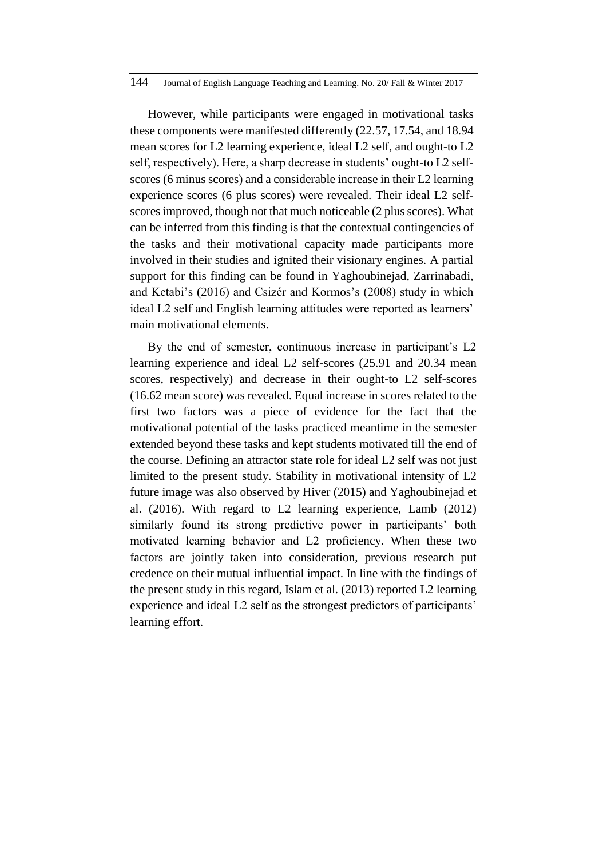However, while participants were engaged in motivational tasks these components were manifested differently (22.57, 17.54, and 18.94 mean scores for L2 learning experience, ideal L2 self, and ought-to L2 self, respectively). Here, a sharp decrease in students' ought-to L2 selfscores (6 minus scores) and a considerable increase in their L2 learning experience scores (6 plus scores) were revealed. Their ideal L2 selfscoresimproved, though not that much noticeable (2 plus scores). What can be inferred from this finding is that the contextual contingencies of the tasks and their motivational capacity made participants more involved in their studies and ignited their visionary engines. A partial support for this finding can be found in Yaghoubinejad, Zarrinabadi, and Ketabi's (2016) and Csizér and Kormos's (2008) study in which ideal L2 self and English learning attitudes were reported as learners' main motivational elements.

By the end of semester, continuous increase in participant's L2 learning experience and ideal L2 self-scores (25.91 and 20.34 mean scores, respectively) and decrease in their ought-to L2 self-scores (16.62 mean score) was revealed. Equal increase in scores related to the first two factors was a piece of evidence for the fact that the motivational potential of the tasks practiced meantime in the semester extended beyond these tasks and kept students motivated till the end of the course. Defining an attractor state role for ideal L2 self was not just limited to the present study. Stability in motivational intensity of L2 future image was also observed by Hiver (2015) and Yaghoubinejad et al. (2016). With regard to L2 learning experience, Lamb (2012) similarly found its strong predictive power in participants' both motivated learning behavior and L2 proficiency. When these two factors are jointly taken into consideration, previous research put credence on their mutual influential impact. In line with the findings of the present study in this regard, Islam et al. (2013) reported L2 learning experience and ideal L2 self as the strongest predictors of participants' learning effort.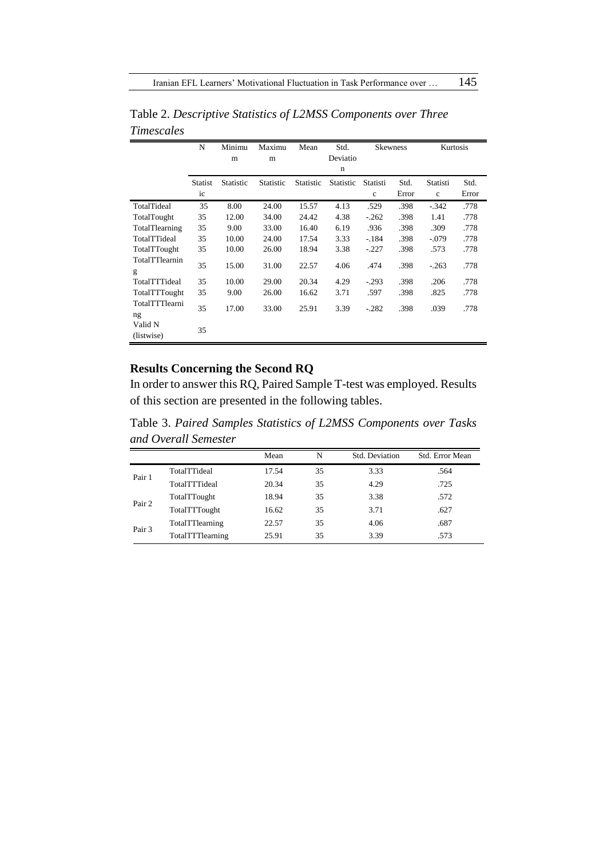|                       | N              | Minimu    | Maximu    | Mean      | Std.             |              | <b>Skewness</b> | Kurtosis    |       |
|-----------------------|----------------|-----------|-----------|-----------|------------------|--------------|-----------------|-------------|-------|
|                       |                | m         | m         |           | Deviatio         |              |                 |             |       |
|                       |                |           |           |           | $\mathbf n$      |              |                 |             |       |
|                       | <b>Statist</b> | Statistic | Statistic | Statistic | <b>Statistic</b> | Statisti     | Std.            | Statisti    | Std.  |
|                       | ic             |           |           |           |                  | $\mathbf{c}$ | Error           | $\mathbf c$ | Error |
| TotalTideal           | 35             | 8.00      | 24.00     | 15.57     | 4.13             | .529         | .398            | $-.342$     | .778  |
| TotalTought           | 35             | 12.00     | 34.00     | 24.42     | 4.38             | $-.262$      | .398            | 1.41        | .778  |
| TotalTlearning        | 35             | 9.00      | 33.00     | 16.40     | 6.19             | .936         | .398            | .309        | .778  |
| TotalTTideal          | 35             | 10.00     | 24.00     | 17.54     | 3.33             | $-.184$      | .398            | $-.079$     | .778  |
| TotalTTought          | 35             | 10.00     | 26.00     | 18.94     | 3.38             | $-.227$      | .398            | .573        | .778  |
| TotalTTlearnin<br>g   | 35             | 15.00     | 31.00     | 22.57     | 4.06             | .474         | .398            | $-.263$     | .778  |
| TotalTTTideal         | 35             | 10.00     | 29.00     | 20.34     | 4.29             | $-.293$      | .398            | .206        | .778  |
| TotalTTTought         | 35             | 9.00      | 26.00     | 16.62     | 3.71             | .597         | .398            | .825        | .778  |
| TotalTTTlearni<br>ng  | 35             | 17.00     | 33.00     | 25.91     | 3.39             | $-.282$      | .398            | .039        | .778  |
| Valid N<br>(listwise) | 35             |           |           |           |                  |              |                 |             |       |

Table 2. *Descriptive Statistics of L2MSS Components over Three Timescales*

# **Results Concerning the Second RQ**

In order to answer this RQ, Paired Sample T-test was employed. Results of this section are presented in the following tables.

Table 3. *Paired Samples Statistics of L2MSS Components over Tasks and Overall Semester*

|        |                  | Mean  | N  | Std. Deviation | Std. Error Mean |
|--------|------------------|-------|----|----------------|-----------------|
| Pair 1 | TotalTTideal     | 17.54 | 35 | 3.33           | .564            |
|        | TotalTTTideal    | 20.34 | 35 | 4.29           | .725            |
| Pair 2 | TotalTTought     | 18.94 | 35 | 3.38           | .572            |
|        | TotalTTTought    | 16.62 | 35 | 3.71           | .627            |
|        | TotalTTlearning  | 22.57 | 35 | 4.06           | .687            |
| Pair 3 | TotalTTTlearning | 25.91 | 35 | 3.39           | .573            |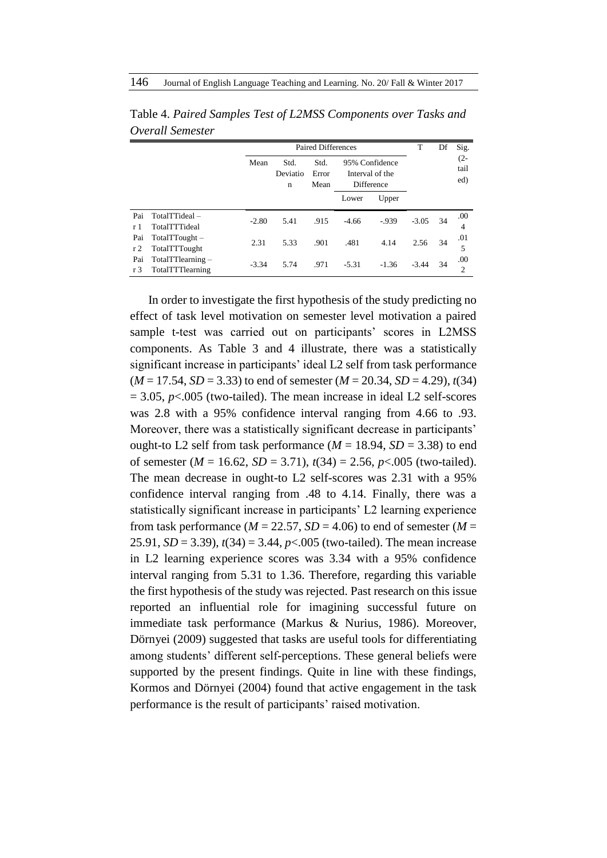|                       |                                         |         | <b>Paired Differences</b> | T                     | Df      | Sig.                                            |         |    |                       |
|-----------------------|-----------------------------------------|---------|---------------------------|-----------------------|---------|-------------------------------------------------|---------|----|-----------------------|
|                       |                                         | Mean    | Std.<br>Deviatio<br>n     | Std.<br>Error<br>Mean |         | 95% Confidence<br>Interval of the<br>Difference |         |    | $(2 -$<br>tail<br>ed) |
|                       |                                         |         |                           |                       | Lower   | Upper                                           |         |    |                       |
| Pai<br>r 1            | TotalTTideal-<br>TotalTTTideal          | $-2.80$ | 5.41                      | .915                  | $-4.66$ | $-0.939$                                        | $-3.05$ | 34 | .00.<br>4             |
| Pai<br>r <sub>2</sub> | $TotalTTought -$<br>TotalTTTought       | 2.31    | 5.33                      | .901                  | .481    | 4.14                                            | 2.56    | 34 | .01<br>5              |
| Pai<br>r 3            | TotalTTlearning $-$<br>TotalTTTlearning | $-3.34$ | 5.74                      | .971                  | $-5.31$ | $-1.36$                                         | $-3.44$ | 34 | .00.<br>2             |

Table 4. *Paired Samples Test of L2MSS Components over Tasks and Overall Semester*

In order to investigate the first hypothesis of the study predicting no effect of task level motivation on semester level motivation a paired sample t-test was carried out on participants' scores in L2MSS components. As Table 3 and 4 illustrate, there was a statistically significant increase in participants' ideal L2 self from task performance  $(M = 17.54, SD = 3.33)$  to end of semester  $(M = 20.34, SD = 4.29)$ ,  $t(34)$  $= 3.05$ ,  $p<.005$  (two-tailed). The mean increase in ideal L2 self-scores was 2.8 with a 95% confidence interval ranging from 4.66 to .93. Moreover, there was a statistically significant decrease in participants' ought-to L2 self from task performance  $(M = 18.94, SD = 3.38)$  to end of semester  $(M = 16.62, SD = 3.71), t(34) = 2.56, p < .005$  (two-tailed). The mean decrease in ought-to L2 self-scores was 2.31 with a 95% confidence interval ranging from .48 to 4.14. Finally, there was a statistically significant increase in participants' L2 learning experience from task performance ( $M = 22.57$ ,  $SD = 4.06$ ) to end of semester ( $M =$ 25.91, *SD* = 3.39), *t*(34) = 3.44, *p*<.005 (two-tailed). The mean increase in L2 learning experience scores was 3.34 with a 95% confidence interval ranging from 5.31 to 1.36. Therefore, regarding this variable the first hypothesis of the study was rejected. Past research on this issue reported an influential role for imagining successful future on immediate task performance (Markus & Nurius, 1986). Moreover, Dörnyei (2009) suggested that tasks are useful tools for differentiating among students' different self-perceptions. These general beliefs were supported by the present findings. Quite in line with these findings, Kormos and Dörnyei (2004) found that active engagement in the task performance is the result of participants' raised motivation.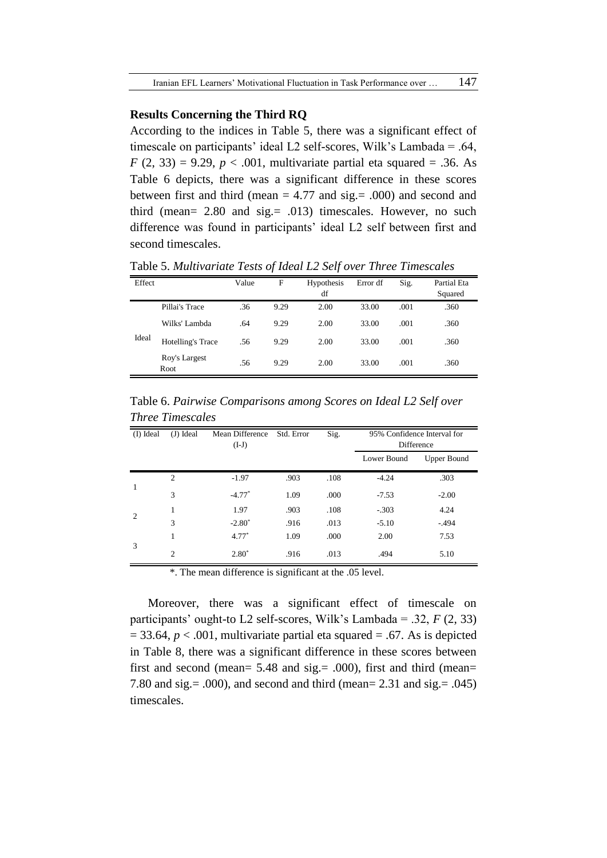### **Results Concerning the Third RQ**

According to the indices in Table 5, there was a significant effect of timescale on participants' ideal L2 self-scores, Wilk's Lambada = .64, *F* (2, 33) = 9.29, *p* < .001, multivariate partial eta squared = .36. As Table 6 depicts, there was a significant difference in these scores between first and third (mean  $= 4.77$  and sig.  $= .000$ ) and second and third (mean= 2.80 and sig.= .013) timescales. However, no such difference was found in participants' ideal L2 self between first and second timescales.

Table 5. *Multivariate Tests of Ideal L2 Self over Three Timescales*

| Effect |                       | Value | F    | Hypothesis<br>df | Error df | Sig. | Partial Eta<br>Squared |
|--------|-----------------------|-------|------|------------------|----------|------|------------------------|
|        | Pillai's Trace        | .36   | 9.29 | 2.00             | 33.00    | .001 | .360                   |
|        | Wilks' Lambda         | .64   | 9.29 | 2.00             | 33.00    | .001 | .360                   |
| Ideal  | Hotelling's Trace     | .56   | 9.29 | 2.00             | 33.00    | .001 | .360                   |
|        | Roy's Largest<br>Root | .56   | 9.29 | 2.00             | 33.00    | .001 | .360                   |

Table 6. *Pairwise Comparisons among Scores on Ideal L2 Self over Three Timescales*

| (I) Ideal      | (J) Ideal      | Mean Difference<br>$(I-J)$ | Std. Error | Sig. | 95% Confidence Interval for<br>Difference |                    |
|----------------|----------------|----------------------------|------------|------|-------------------------------------------|--------------------|
|                |                |                            |            |      | Lower Bound                               | <b>Upper Bound</b> |
|                | $\overline{2}$ | $-1.97$                    | .903       | .108 | $-4.24$                                   | .303               |
| 1              | 3              | $-4.77*$                   | 1.09       | .000 | $-7.53$                                   | $-2.00$            |
| $\overline{2}$ | 1              | 1.97                       | .903       | .108 | $-.303$                                   | 4.24               |
|                | 3              | $-2.80^*$                  | .916       | .013 | $-5.10$                                   | $-.494$            |
|                | 1              | $4.77*$                    | 1.09       | .000 | 2.00                                      | 7.53               |
| 3              | $\overline{2}$ | $2.80^*$                   | .916       | .013 | .494                                      | 5.10               |

\*. The mean difference is significant at the .05 level.

Moreover, there was a significant effect of timescale on participants' ought-to L2 self-scores, Wilk's Lambada = .32,  $F(2, 33)$  $= 33.64$ ,  $p < .001$ , multivariate partial eta squared  $= .67$ . As is depicted in Table 8, there was a significant difference in these scores between first and second (mean= 5.48 and sig.= .000), first and third (mean= 7.80 and sig.= .000), and second and third (mean= 2.31 and sig.= .045) timescales.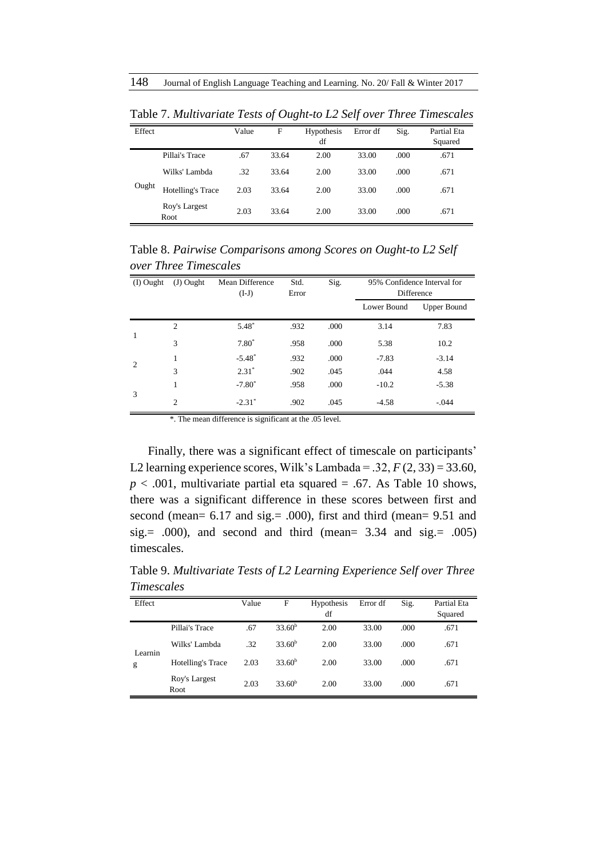| Effect |                       | Value | F     | Hypothesis<br>df | Error df | Sig. | Partial Eta<br>Squared |
|--------|-----------------------|-------|-------|------------------|----------|------|------------------------|
|        | Pillai's Trace        | .67   | 33.64 | 2.00             | 33.00    | .000 | .671                   |
|        | Wilks' Lambda         | .32   | 33.64 | 2.00             | 33.00    | .000 | .671                   |
| Ought  | Hotelling's Trace     | 2.03  | 33.64 | 2.00             | 33.00    | .000 | .671                   |
|        | Roy's Largest<br>Root | 2.03  | 33.64 | 2.00             | 33.00    | .000 | .671                   |

Table 7. *Multivariate Tests of Ought-to L2 Self over Three Timescales*

Table 8. *Pairwise Comparisons among Scores on Ought-to L2 Self over Three Timescales*

| (I) Ought      | $(J)$ Ought    | Mean Difference<br>$(I-J)$ | Std.<br>Error | Sig. | 95% Confidence Interval for<br>Difference |                    |
|----------------|----------------|----------------------------|---------------|------|-------------------------------------------|--------------------|
|                |                |                            |               |      | Lower Bound                               | <b>Upper Bound</b> |
|                | 2              | $5.48*$                    | .932          | .000 | 3.14                                      | 7.83               |
| 1              | 3              | $7.80*$                    | .958          | .000 | 5.38                                      | 10.2               |
| $\overline{2}$ | 1              | $-5.48^*$                  | .932          | .000 | $-7.83$                                   | $-3.14$            |
|                | 3              | $2.31*$                    | .902          | .045 | .044                                      | 4.58               |
|                | 1              | $-7.80^*$                  | .958          | .000 | $-10.2$                                   | $-5.38$            |
| 3              | $\overline{2}$ | $-2.31^*$                  | .902          | .045 | $-4.58$                                   | $-.044$            |

\*. The mean difference is significant at the .05 level.

Finally, there was a significant effect of timescale on participants' L2 learning experience scores, Wilk's Lambada =  $.32, F(2, 33) = 33.60$ ,  $p < .001$ , multivariate partial eta squared = .67. As Table 10 shows, there was a significant difference in these scores between first and second (mean= 6.17 and sig.= .000), first and third (mean= 9.51 and sig. =  $.000$ , and second and third (mean = 3.34 and sig. =  $.005$ ) timescales.

Table 9. *Multivariate Tests of L2 Learning Experience Self over Three Timescales*

| Effect  |                       | Value | F                  | <b>Hypothesis</b><br>df | Error df | Sig. | Partial Eta<br>Squared |
|---------|-----------------------|-------|--------------------|-------------------------|----------|------|------------------------|
|         | Pillai's Trace        | .67   | 33.60 <sup>b</sup> | 2.00                    | 33.00    | .000 | .671                   |
| Learnin | Wilks' Lambda         | .32   | 33.60 <sup>b</sup> | 2.00                    | 33.00    | .000 | .671                   |
| g       | Hotelling's Trace     | 2.03  | 33.60 <sup>b</sup> | 2.00                    | 33.00    | .000 | .671                   |
|         | Roy's Largest<br>Root | 2.03  | 33.60 <sup>b</sup> | 2.00                    | 33.00    | .000 | .671                   |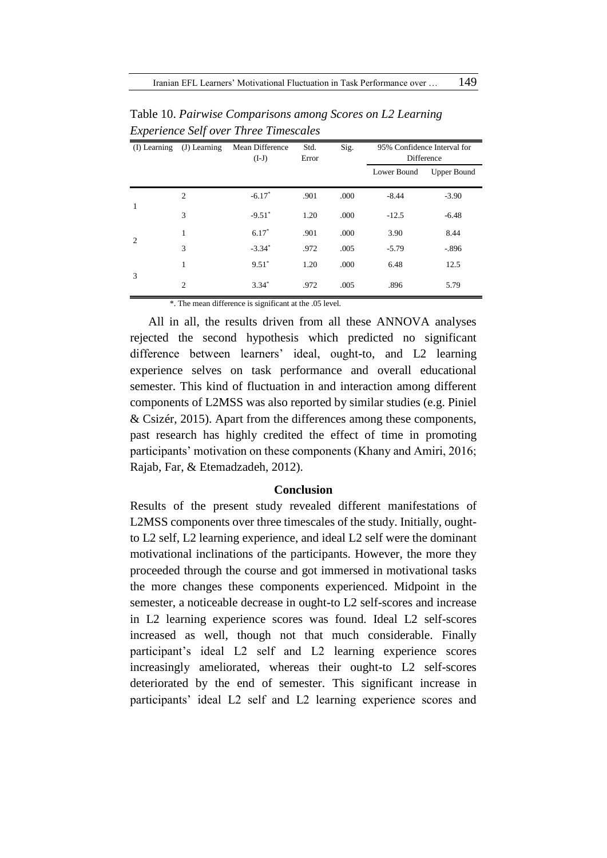|                | (I) Learning (J) Learning | Mean Difference<br>$(I-J)$ | Std.<br>Error | Sig. |             | 95% Confidence Interval for<br>Difference |
|----------------|---------------------------|----------------------------|---------------|------|-------------|-------------------------------------------|
|                |                           |                            |               |      | Lower Bound | <b>Upper Bound</b>                        |
|                | $\overline{c}$            | $-6.17*$                   | .901          | .000 | $-8.44$     | $-3.90$                                   |
| 1              | 3                         | $-9.51$ <sup>*</sup>       | 1.20          | .000 | $-12.5$     | $-6.48$                                   |
| $\overline{2}$ | 1                         | $6.17*$                    | .901          | .000 | 3.90        | 8.44                                      |
|                | 3                         | $-3.34*$                   | .972          | .005 | $-5.79$     | $-.896$                                   |
|                | 1                         | $9.51^*$                   | 1.20          | .000 | 6.48        | 12.5                                      |
| 3              | $\overline{2}$            | $3.34*$                    | .972          | .005 | .896        | 5.79                                      |

Table 10. *Pairwise Comparisons among Scores on L2 Learning Experience Self over Three Timescales*

\*. The mean difference is significant at the .05 level.

All in all, the results driven from all these ANNOVA analyses rejected the second hypothesis which predicted no significant difference between learners' ideal, ought-to, and L2 learning experience selves on task performance and overall educational semester. This kind of fluctuation in and interaction among different components of L2MSS was also reported by similar studies (e.g. Piniel & Csizér, 2015). Apart from the differences among these components, past research has highly credited the effect of time in promoting participants' motivation on these components (Khany and Amiri, 2016; Rajab, Far, & Etemadzadeh, 2012).

#### **Conclusion**

Results of the present study revealed different manifestations of L2MSS components over three timescales of the study. Initially, oughtto L2 self, L2 learning experience, and ideal L2 self were the dominant motivational inclinations of the participants. However, the more they proceeded through the course and got immersed in motivational tasks the more changes these components experienced. Midpoint in the semester, a noticeable decrease in ought-to L2 self-scores and increase in L2 learning experience scores was found. Ideal L2 self-scores increased as well, though not that much considerable. Finally participant's ideal L2 self and L2 learning experience scores increasingly ameliorated, whereas their ought-to L2 self-scores deteriorated by the end of semester. This significant increase in participants' ideal L2 self and L2 learning experience scores and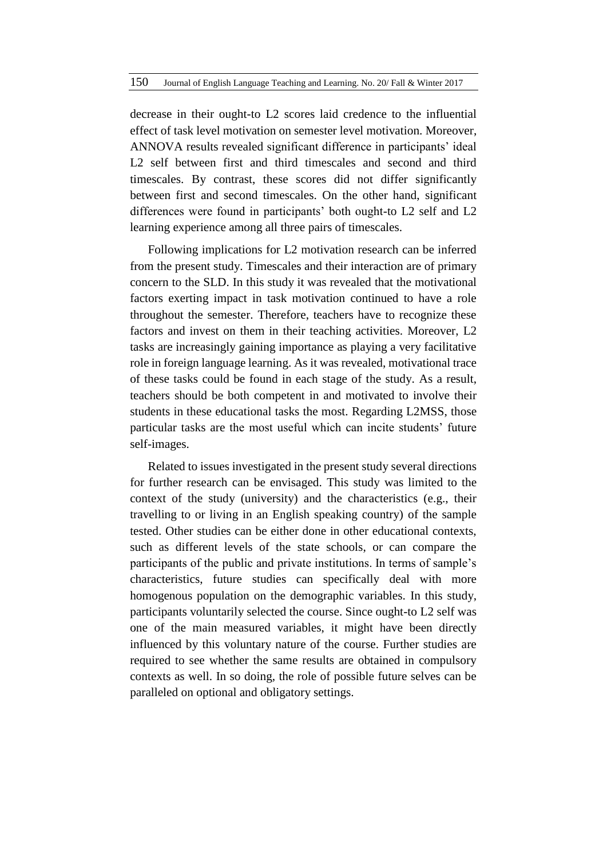decrease in their ought-to L2 scores laid credence to the influential effect of task level motivation on semester level motivation. Moreover, ANNOVA results revealed significant difference in participants' ideal L<sub>2</sub> self between first and third timescales and second and third timescales. By contrast, these scores did not differ significantly between first and second timescales. On the other hand, significant differences were found in participants' both ought-to L2 self and L2 learning experience among all three pairs of timescales.

Following implications for L2 motivation research can be inferred from the present study. Timescales and their interaction are of primary concern to the SLD. In this study it was revealed that the motivational factors exerting impact in task motivation continued to have a role throughout the semester. Therefore, teachers have to recognize these factors and invest on them in their teaching activities. Moreover, L2 tasks are increasingly gaining importance as playing a very facilitative role in foreign language learning. As it was revealed, motivational trace of these tasks could be found in each stage of the study. As a result, teachers should be both competent in and motivated to involve their students in these educational tasks the most. Regarding L2MSS, those particular tasks are the most useful which can incite students' future self-images.

Related to issues investigated in the present study several directions for further research can be envisaged. This study was limited to the context of the study (university) and the characteristics (e.g., their travelling to or living in an English speaking country) of the sample tested. Other studies can be either done in other educational contexts, such as different levels of the state schools, or can compare the participants of the public and private institutions. In terms of sample's characteristics, future studies can specifically deal with more homogenous population on the demographic variables. In this study, participants voluntarily selected the course. Since ought-to L2 self was one of the main measured variables, it might have been directly influenced by this voluntary nature of the course. Further studies are required to see whether the same results are obtained in compulsory contexts as well. In so doing, the role of possible future selves can be paralleled on optional and obligatory settings.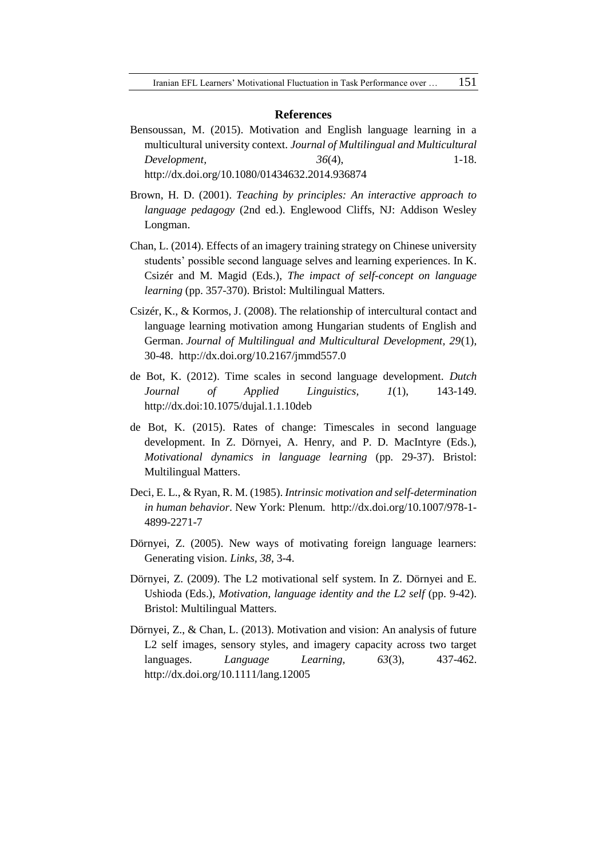#### **References**

Bensoussan, M. (2015). Motivation and English language learning in a multicultural university context. *Journal of Multilingual and Multicultural Development, 36*(4), 1-18. <http://dx.doi.org/10.1080/01434632.2014.936874>

Brown, H. D. (2001). *Teaching by principles: An interactive approach to* 

- *language pedagogy* (2nd ed.). Englewood Cliffs, NJ: Addison Wesley Longman.
- Chan, L. (2014). Effects of an imagery training strategy on Chinese university students' possible second language selves and learning experiences. In K. Csizér and M. Magid (Eds.), *The impact of self-concept on language learning* (pp. 357-370). Bristol: Multilingual Matters.
- Csizér, K., & Kormos, J. (2008). The relationship of intercultural contact and language learning motivation among Hungarian students of English and German. *Journal of Multilingual and Multicultural Development, 29*(1), 30-48. <http://dx.doi.org/10.2167/jmmd557.0>
- de Bot, K. (2012). Time scales in second language development. *Dutch Journal of Applied Linguistics, 1*(1), 143-149. http://dx.doi:10.1075/dujal.1.1.10deb
- de Bot, K. (2015). Rates of change: Timescales in second language development. In Z. Dörnyei, A. Henry, and P. D. MacIntyre (Eds.), *Motivational dynamics in language learning* (pp*.* 29-37). Bristol: Multilingual Matters.
- Deci, E. L., & Ryan, R. M. (1985). *Intrinsic motivation and self-determination in human behavior*. New York: Plenum. http://dx.doi.org/10.1007/978-1- 4899-2271-7
- Dörnyei, Z. (2005). New ways of motivating foreign language learners: Generating vision. *Links, 38*, 3-4.
- Dörnyei, Z. (2009). The L2 motivational self system. In Z. Dörnyei and E. Ushioda (Eds.), *Motivation, language identity and the L2 self* (pp. 9-42). Bristol: Multilingual Matters.
- Dörnyei, Z., & Chan, L. (2013). Motivation and vision: An analysis of future L2 self images, sensory styles, and imagery capacity across two target languages. *Language Learning, 63*(3), 437-462. http://dx.doi.org/10.1111/lang.12005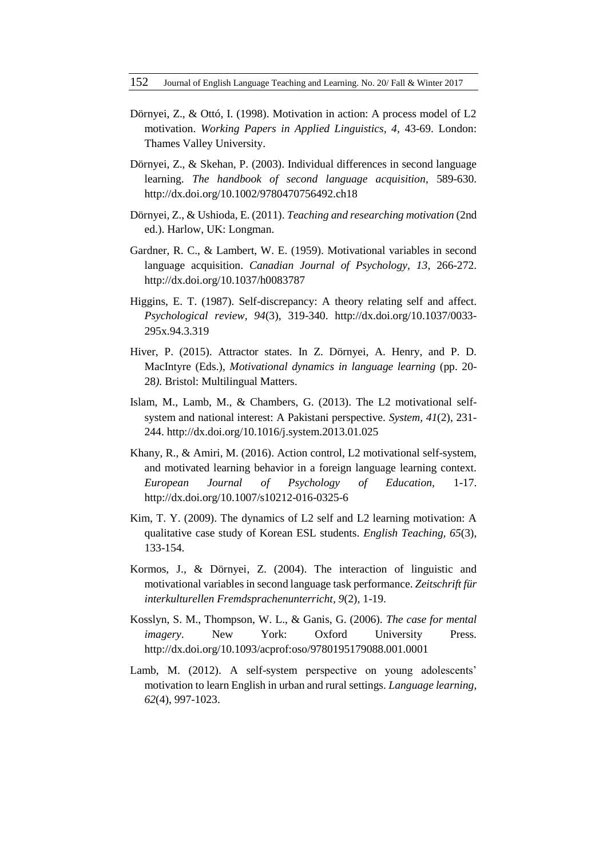- Dörnyei, Z., & Ottó, I. (1998). Motivation in action: A process model of L2 motivation. *Working Papers in Applied Linguistics, 4*, 43-69. London: Thames Valley University.
- Dörnyei, Z., & Skehan, P. (2003). Individual differences in second language learning. *The handbook of second language acquisition*, 589-630. http://dx.doi.org/10.1002/9780470756492.ch18
- Dörnyei, Z., & Ushioda, E. (2011). *Teaching and researching motivation* (2nd ed.). Harlow, UK: Longman.
- Gardner, R. C., & Lambert, W. E. (1959). Motivational variables in second language acquisition. *Canadian Journal of Psychology, 13*, 266-272. <http://dx.doi.org/10.1037/h0083787>
- Higgins, E. T. (1987). Self-discrepancy: A theory relating self and affect. *Psychological review, 94*(3), 319-340. http://dx.doi.org/10.1037/0033- 295x.94.3.319
- Hiver, P. (2015). Attractor states. In Z. Dörnyei, A. Henry, and P. D. MacIntyre (Eds.), *Motivational dynamics in language learning* (pp. 20- 28*).* Bristol: Multilingual Matters.
- Islam, M., Lamb, M., & Chambers, G. (2013). The L2 motivational selfsystem and national interest: A Pakistani perspective. *System, 41*(2), 231- 244. http://dx.doi.org/10.1016/j.system.2013.01.025
- Khany, R., & Amiri, M. (2016). Action control, L2 motivational self-system, and motivated learning behavior in a foreign language learning context. *European Journal of Psychology of Education,* 1-17. http://dx.doi.org/10.1007/s10212-016-0325-6
- Kim, T. Y. (2009). The dynamics of L2 self and L2 learning motivation: A qualitative case study of Korean ESL students. *English Teaching, 65*(3), 133-154.
- Kormos, J., & Dörnyei, Z. (2004). The interaction of linguistic and motivational variables in second language task performance. *Zeitschrift für interkulturellen Fremdsprachenunterricht, 9*(2), 1-19.
- Kosslyn, S. M., Thompson, W. L., & Ganis, G. (2006). *The case for mental imagery*. New York: Oxford University Press. http://dx.doi.org/10.1093/acprof:oso/9780195179088.001.0001
- Lamb, M. (2012). A self-system perspective on young adolescents' motivation to learn English in urban and rural settings. *Language learning, 62*(4), 997-1023.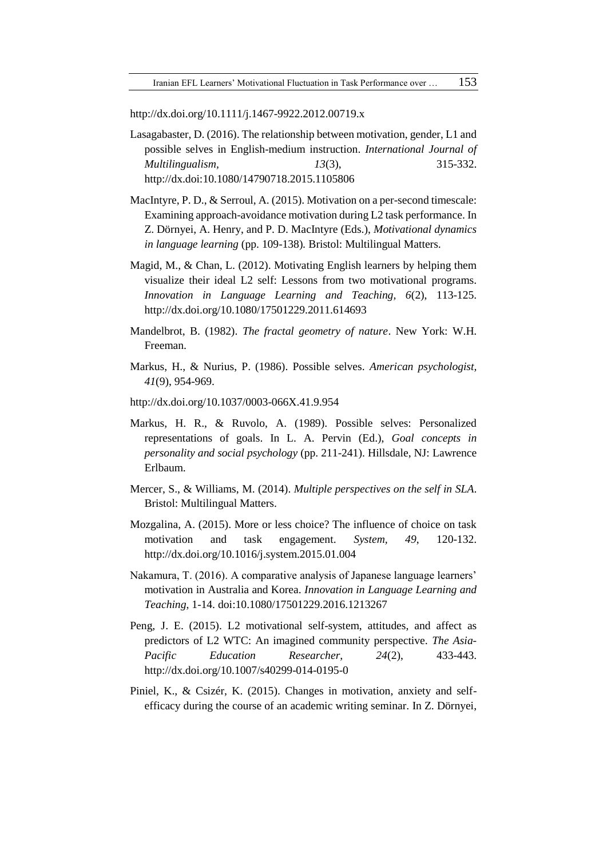http://dx.doi.org/10.1111/j.1467-9922.2012.00719.x

- Lasagabaster, D. (2016). The relationship between motivation, gender, L1 and possible selves in English-medium instruction. *International Journal of Multilingualism, 13*(3), 315-332. http://dx.doi:10.1080/14790718.2015.1105806
- MacIntyre, P. D., & Serroul, A. (2015). Motivation on a per-second timescale: Examining approach-avoidance motivation during L2 task performance. In Z. Dörnyei, A. Henry, and P. D. MacIntyre (Eds.), *Motivational dynamics in language learning* (pp. 109-138)*.* Bristol: Multilingual Matters.
- Magid, M., & Chan, L. (2012). Motivating English learners by helping them visualize their ideal L2 self: Lessons from two motivational programs. *Innovation in Language Learning and Teaching, 6*(2), 113-125. http://dx.doi.org/10.1080/17501229.2011.614693
- Mandelbrot, B. (1982). *The fractal geometry of nature*. New York: W.H. Freeman.
- Markus, H., & Nurius, P. (1986). Possible selves. *American psychologist, 41*(9), 954-969.
- http://dx.doi.org/10.1037/0003-066X.41.9.954
- Markus, H. R., & Ruvolo, A. (1989). Possible selves: Personalized representations of goals. In L. A. Pervin (Ed.), *Goal concepts in personality and social psychology* (pp. 211-241). Hillsdale, NJ: Lawrence Erlbaum.
- Mercer, S., & Williams, M. (2014). *Multiple perspectives on the self in SLA*. Bristol: Multilingual Matters.
- Mozgalina, A. (2015). More or less choice? The influence of choice on task motivation and task engagement. *System, 49*, 120-132. <http://dx.doi.org/10.1016/j.system.2015.01.004>
- Nakamura, T. (2016). A comparative analysis of Japanese language learners' motivation in Australia and Korea. *Innovation in Language Learning and Teaching*, 1-14. doi:10.1080/17501229.2016.1213267
- Peng, J. E. (2015). L2 motivational self-system, attitudes, and affect as predictors of L2 WTC: An imagined community perspective. *The Asia-Pacific Education Researcher, 24*(2), 433-443. http://dx.doi.org/10.1007/s40299-014-0195-0
- Piniel, K., & Csizér, K. (2015). Changes in motivation, anxiety and selfefficacy during the course of an academic writing seminar. In Z. Dörnyei,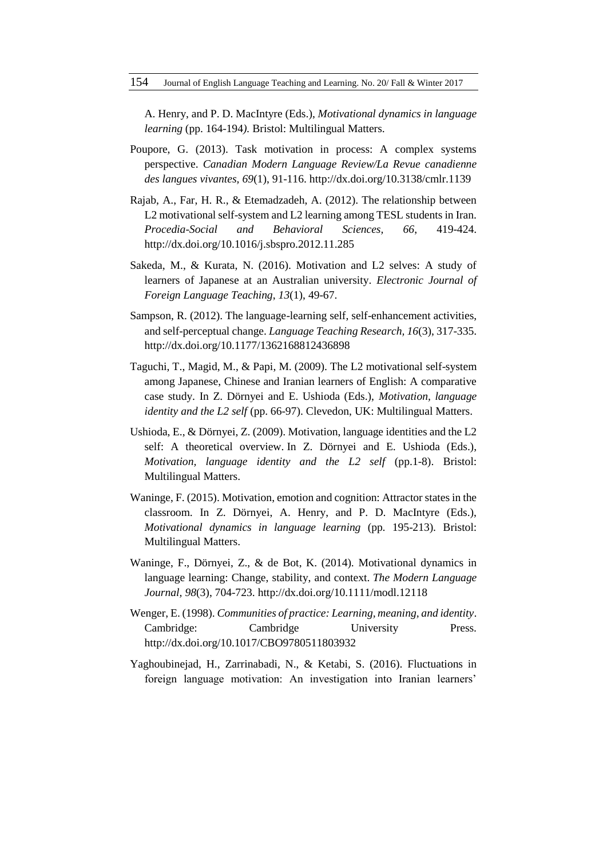A. Henry, and P. D. MacIntyre (Eds.), *Motivational dynamics in language learning* (pp. 164-194*).* Bristol: Multilingual Matters.

- Poupore, G. (2013). Task motivation in process: A complex systems perspective. *Canadian Modern Language Review/La Revue canadienne des langues vivantes, 69*(1), 91-116. http://dx.doi.org/10.3138/cmlr.1139
- Rajab, A., Far, H. R., & Etemadzadeh, A. (2012). The relationship between L2 motivational self-system and L2 learning among TESL students in Iran. *Procedia-Social and Behavioral Sciences, 66*, 419-424. http://dx.doi.org[/10.1016/j.sbspro.2012.11.285](http://dx.doi.org/10.1016/j.sbspro.2012.11.285)
- Sakeda, M., & Kurata, N. (2016). Motivation and L2 selves: A study of learners of Japanese at an Australian university. *Electronic Journal of Foreign Language Teaching*, *13*(1), 49-67.
- Sampson, R. (2012). The language-learning self, self-enhancement activities, and self-perceptual change. *Language Teaching Research, 16*(3), 317-335. http://dx.doi.org/10.1177/1362168812436898
- Taguchi, T., Magid, M., & Papi, M. (2009). The L2 motivational self-system among Japanese, Chinese and Iranian learners of English: A comparative case study. In Z. Dörnyei and E. Ushioda (Eds.), *Motivation, language identity and the L2 self* (pp. 66-97). Clevedon, UK: Multilingual Matters.
- Ushioda, E., & Dörnyei, Z. (2009). Motivation, language identities and the L2 self: A theoretical overview. In Z. Dörnyei and E. Ushioda (Eds.), *Motivation, language identity and the L2 self* (pp.1-8). Bristol: Multilingual Matters.
- Waninge, F. (2015). Motivation, emotion and cognition: Attractor states in the classroom. In Z. Dörnyei, A. Henry, and P. D. MacIntyre (Eds.), *Motivational dynamics in language learning* (pp*.* 195-213)*.* Bristol: Multilingual Matters.
- Waninge, F., Dörnyei, Z., & de Bot, K. (2014). Motivational dynamics in language learning: Change, stability, and context. *The Modern Language Journal, 98*(3), 704-723. http://dx.doi.org/10.1111/modl.12118
- Wenger, E. (1998). *Communities of practice: Learning, meaning, and identity*. Cambridge: Cambridge University Press. http://dx.doi.org/10.1017/CBO9780511803932
- Yaghoubinejad, H., Zarrinabadi, N., & Ketabi, S. (2016). Fluctuations in foreign language motivation: An investigation into Iranian learners'